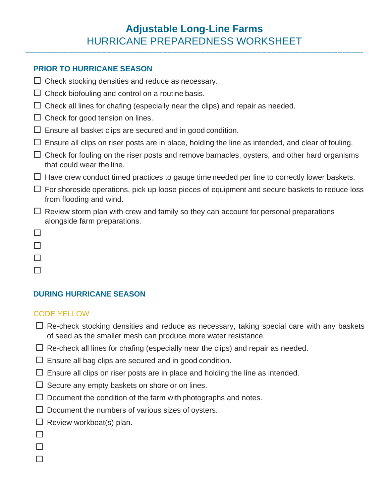# **Adjustable Long-Line Farms** HURRICANE PREPAREDNESS WORKSHEET

**\_\_\_\_\_\_\_\_\_\_\_\_\_\_\_\_\_\_\_\_\_\_\_\_\_\_\_\_\_\_\_\_\_\_\_\_\_\_\_\_\_\_\_\_\_\_\_\_\_\_\_\_\_\_\_\_\_\_\_\_\_\_\_\_\_\_\_\_\_\_\_\_\_\_\_\_\_\_\_\_\_\_\_\_\_\_\_\_\_\_\_\_\_\_\_\_\_\_\_\_\_\_\_\_\_\_\_\_\_\_\_\_\_\_\_\_\_\_\_\_\_\_\_\_\_\_\_\_\_\_\_\_\_**

#### **PRIOR TO HURRICANE SEASON**

- $\Box$  Check stocking densities and reduce as necessary.
- $\Box$  Check biofouling and control on a routine basis.
- $\Box$  Check all lines for chafing (especially near the clips) and repair as needed.
- $\Box$  Check for good tension on lines.
- $\Box$  Ensure all basket clips are secured and in good condition.
- $\Box$  Ensure all clips on riser posts are in place, holding the line as intended, and clear of fouling.
- $\Box$  Check for fouling on the riser posts and remove barnacles, oysters, and other hard organisms that could wear the line.
- $\Box$  Have crew conduct timed practices to gauge time needed per line to correctly lower baskets.
- $\Box$  For shoreside operations, pick up loose pieces of equipment and secure baskets to reduce loss from flooding and wind.
- $\Box$  Review storm plan with crew and family so they can account for personal preparations alongside farm preparations.
- $\Box$
- $\Box$
- $\Box$
- $\Box$

## **DURING HURRICANE SEASON**

#### CODE YELLOW

- $\Box$  Re-check stocking densities and reduce as necessary, taking special care with any baskets of seed as the smaller mesh can produce more water resistance.
- $\Box$  Re-check all lines for chafing (especially near the clips) and repair as needed.
- $\Box$  Ensure all bag clips are secured and in good condition.
- $\Box$  Ensure all clips on riser posts are in place and holding the line as intended.
- $\Box$  Secure any empty baskets on shore or on lines.
- $\Box$  Document the condition of the farm with photographs and notes.
- $\Box$  Document the numbers of various sizes of oysters.
- $\Box$  Review workboat(s) plan.
- $\Box$
- $\Box$
- П